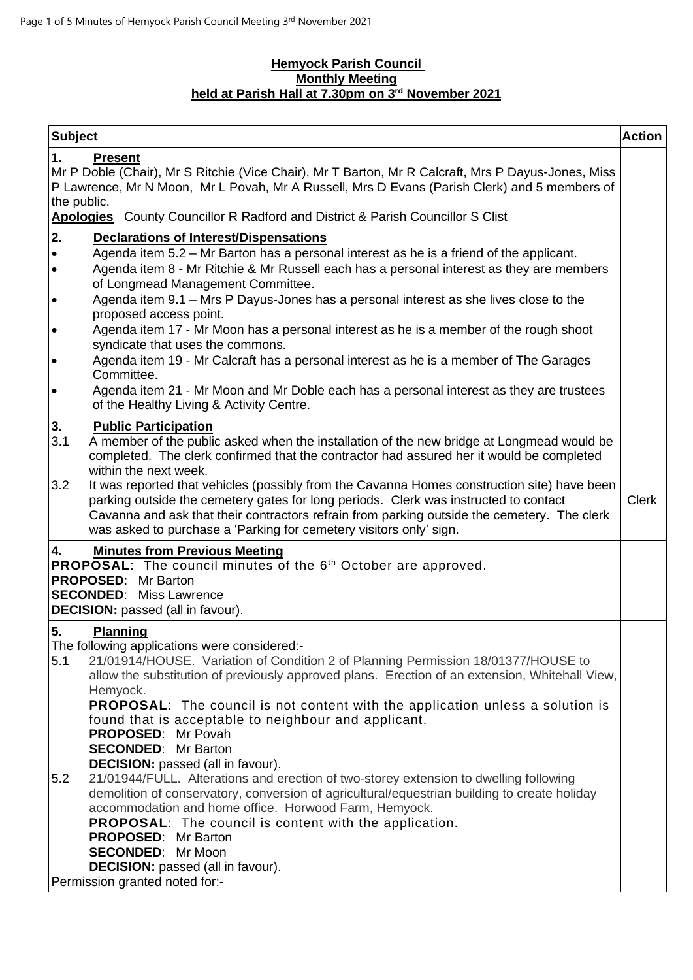## **Hemyock Parish Council Monthly Meeting held at Parish Hall at 7.30pm on 3 rd November 2021**

| <b>Subject</b>                                                                                                                                                                                                                                                                                                                                                                                                                                                                                                                                                                                                                | <b>Action</b> |
|-------------------------------------------------------------------------------------------------------------------------------------------------------------------------------------------------------------------------------------------------------------------------------------------------------------------------------------------------------------------------------------------------------------------------------------------------------------------------------------------------------------------------------------------------------------------------------------------------------------------------------|---------------|
| 1.<br><b>Present</b><br>Mr P Doble (Chair), Mr S Ritchie (Vice Chair), Mr T Barton, Mr R Calcraft, Mrs P Dayus-Jones, Miss<br>P Lawrence, Mr N Moon, Mr L Povah, Mr A Russell, Mrs D Evans (Parish Clerk) and 5 members of<br>the public.<br>Apologies County Councillor R Radford and District & Parish Councillor S Clist                                                                                                                                                                                                                                                                                                   |               |
| 2.<br><b>Declarations of Interest/Dispensations</b>                                                                                                                                                                                                                                                                                                                                                                                                                                                                                                                                                                           |               |
| Agenda item 5.2 – Mr Barton has a personal interest as he is a friend of the applicant.<br>$\bullet$<br>Agenda item 8 - Mr Ritchie & Mr Russell each has a personal interest as they are members<br>$\bullet$<br>of Longmead Management Committee.<br>Agenda item 9.1 - Mrs P Dayus-Jones has a personal interest as she lives close to the<br>$\bullet$                                                                                                                                                                                                                                                                      |               |
| proposed access point.<br>Agenda item 17 - Mr Moon has a personal interest as he is a member of the rough shoot<br>$\bullet$<br>syndicate that uses the commons.                                                                                                                                                                                                                                                                                                                                                                                                                                                              |               |
| Agenda item 19 - Mr Calcraft has a personal interest as he is a member of The Garages<br>$\bullet$<br>Committee.                                                                                                                                                                                                                                                                                                                                                                                                                                                                                                              |               |
| Agenda item 21 - Mr Moon and Mr Doble each has a personal interest as they are trustees<br>$\bullet$<br>of the Healthy Living & Activity Centre.                                                                                                                                                                                                                                                                                                                                                                                                                                                                              |               |
| 3.<br><b>Public Participation</b><br>3.1<br>A member of the public asked when the installation of the new bridge at Longmead would be<br>completed. The clerk confirmed that the contractor had assured her it would be completed<br>within the next week.<br>It was reported that vehicles (possibly from the Cavanna Homes construction site) have been<br>3.2<br>parking outside the cemetery gates for long periods. Clerk was instructed to contact<br>Cavanna and ask that their contractors refrain from parking outside the cemetery. The clerk<br>was asked to purchase a 'Parking for cemetery visitors only' sign. | <b>Clerk</b>  |
| <b>Minutes from Previous Meeting</b><br>4.<br>PROPOSAL: The council minutes of the 6 <sup>th</sup> October are approved.<br><b>PROPOSED:</b> Mr Barton<br><b>SECONDED:</b> Miss Lawrence<br><b>DECISION:</b> passed (all in favour).                                                                                                                                                                                                                                                                                                                                                                                          |               |
| 5.<br><b>Planning</b>                                                                                                                                                                                                                                                                                                                                                                                                                                                                                                                                                                                                         |               |
| The following applications were considered:-<br>21/01914/HOUSE. Variation of Condition 2 of Planning Permission 18/01377/HOUSE to<br>5.1<br>allow the substitution of previously approved plans. Erection of an extension, Whitehall View,<br>Hemyock.<br><b>PROPOSAL:</b> The council is not content with the application unless a solution is<br>found that is acceptable to neighbour and applicant.<br><b>PROPOSED:</b> Mr Povah<br><b>SECONDED:</b> Mr Barton                                                                                                                                                            |               |
| <b>DECISION:</b> passed (all in favour).<br>5.2<br>21/01944/FULL. Alterations and erection of two-storey extension to dwelling following<br>demolition of conservatory, conversion of agricultural/equestrian building to create holiday<br>accommodation and home office. Horwood Farm, Hemyock.<br><b>PROPOSAL:</b> The council is content with the application.<br><b>PROPOSED:</b> Mr Barton<br><b>SECONDED:</b> Mr Moon<br><b>DECISION:</b> passed (all in favour).<br>Permission granted noted for:-                                                                                                                    |               |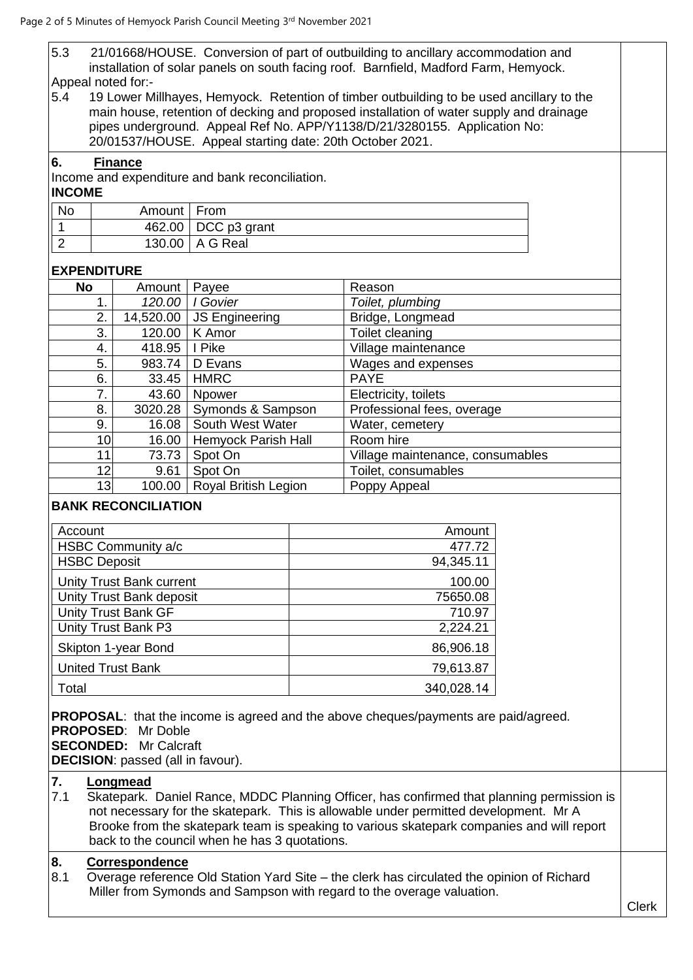| 5.3                                                                                                                | 21/01668/HOUSE. Conversion of part of outbuilding to ancillary accommodation and<br>installation of solar panels on south facing roof. Barnfield, Madford Farm, Hemyock. |                                                                          |                                                          |           |                                                                                                                                                                                   |              |
|--------------------------------------------------------------------------------------------------------------------|--------------------------------------------------------------------------------------------------------------------------------------------------------------------------|--------------------------------------------------------------------------|----------------------------------------------------------|-----------|-----------------------------------------------------------------------------------------------------------------------------------------------------------------------------------|--------------|
|                                                                                                                    |                                                                                                                                                                          | Appeal noted for:-                                                       |                                                          |           |                                                                                                                                                                                   |              |
| 5.4                                                                                                                |                                                                                                                                                                          |                                                                          |                                                          |           | 19 Lower Millhayes, Hemyock. Retention of timber outbuilding to be used ancillary to the                                                                                          |              |
|                                                                                                                    |                                                                                                                                                                          |                                                                          |                                                          |           | main house, retention of decking and proposed installation of water supply and drainage                                                                                           |              |
|                                                                                                                    |                                                                                                                                                                          |                                                                          |                                                          |           | pipes underground. Appeal Ref No. APP/Y1138/D/21/3280155. Application No:                                                                                                         |              |
|                                                                                                                    |                                                                                                                                                                          |                                                                          | 20/01537/HOUSE. Appeal starting date: 20th October 2021. |           |                                                                                                                                                                                   |              |
| 6.                                                                                                                 |                                                                                                                                                                          | <b>Finance</b>                                                           |                                                          |           |                                                                                                                                                                                   |              |
|                                                                                                                    |                                                                                                                                                                          |                                                                          | Income and expenditure and bank reconciliation.          |           |                                                                                                                                                                                   |              |
| <b>INCOME</b>                                                                                                      |                                                                                                                                                                          |                                                                          |                                                          |           |                                                                                                                                                                                   |              |
| <b>No</b>                                                                                                          |                                                                                                                                                                          | Amount                                                                   | From                                                     |           |                                                                                                                                                                                   |              |
| $\mathbf{1}$                                                                                                       |                                                                                                                                                                          | 462.00                                                                   | DCC p3 grant                                             |           |                                                                                                                                                                                   |              |
| $\overline{2}$                                                                                                     |                                                                                                                                                                          | 130.00                                                                   | A G Real                                                 |           |                                                                                                                                                                                   |              |
| <b>EXPENDITURE</b>                                                                                                 |                                                                                                                                                                          |                                                                          |                                                          |           |                                                                                                                                                                                   |              |
|                                                                                                                    | No                                                                                                                                                                       | Amount                                                                   | Payee                                                    |           | Reason                                                                                                                                                                            |              |
|                                                                                                                    | 1.                                                                                                                                                                       | 120.00                                                                   | I Govier                                                 |           | Toilet, plumbing                                                                                                                                                                  |              |
|                                                                                                                    | 2.                                                                                                                                                                       | 14,520.00                                                                | <b>JS Engineering</b>                                    |           | Bridge, Longmead                                                                                                                                                                  |              |
|                                                                                                                    | 3.                                                                                                                                                                       | 120.00                                                                   | K Amor                                                   |           | Toilet cleaning                                                                                                                                                                   |              |
|                                                                                                                    | 4.                                                                                                                                                                       | 418.95                                                                   | I Pike                                                   |           | Village maintenance                                                                                                                                                               |              |
|                                                                                                                    | 5.                                                                                                                                                                       | 983.74                                                                   | D Evans                                                  |           | Wages and expenses                                                                                                                                                                |              |
|                                                                                                                    | 6.<br>7.                                                                                                                                                                 | 33.45                                                                    | <b>HMRC</b>                                              |           | <b>PAYE</b>                                                                                                                                                                       |              |
|                                                                                                                    | 8.                                                                                                                                                                       | 43.60<br>3020.28                                                         | Npower<br>Symonds & Sampson                              |           | Electricity, toilets<br>Professional fees, overage                                                                                                                                |              |
|                                                                                                                    | 9.                                                                                                                                                                       | 16.08                                                                    | South West Water                                         |           | Water, cemetery                                                                                                                                                                   |              |
|                                                                                                                    | 10                                                                                                                                                                       | 16.00                                                                    | Hemyock Parish Hall                                      |           | Room hire                                                                                                                                                                         |              |
|                                                                                                                    | 11                                                                                                                                                                       | 73.73                                                                    | Spot On                                                  |           | Village maintenance, consumables                                                                                                                                                  |              |
|                                                                                                                    | 12                                                                                                                                                                       | 9.61                                                                     | Spot On                                                  |           | Toilet, consumables                                                                                                                                                               |              |
|                                                                                                                    | 13                                                                                                                                                                       | 100.00                                                                   | Royal British Legion                                     |           | Poppy Appeal                                                                                                                                                                      |              |
|                                                                                                                    |                                                                                                                                                                          | <b>BANK RECONCILIATION</b>                                               |                                                          |           |                                                                                                                                                                                   |              |
| Account                                                                                                            |                                                                                                                                                                          |                                                                          |                                                          |           | Amount                                                                                                                                                                            |              |
|                                                                                                                    |                                                                                                                                                                          | HSBC Community a/c                                                       |                                                          |           | 477.72                                                                                                                                                                            |              |
|                                                                                                                    | <b>HSBC Deposit</b>                                                                                                                                                      |                                                                          |                                                          | 94,345.11 |                                                                                                                                                                                   |              |
| <b>Unity Trust Bank current</b>                                                                                    |                                                                                                                                                                          |                                                                          | 100.00                                                   |           |                                                                                                                                                                                   |              |
| Unity Trust Bank deposit                                                                                           |                                                                                                                                                                          |                                                                          | 75650.08                                                 |           |                                                                                                                                                                                   |              |
| <b>Unity Trust Bank GF</b>                                                                                         |                                                                                                                                                                          |                                                                          | 710.97                                                   |           |                                                                                                                                                                                   |              |
| Unity Trust Bank P3                                                                                                |                                                                                                                                                                          |                                                                          | 2,224.21                                                 |           |                                                                                                                                                                                   |              |
| Skipton 1-year Bond                                                                                                |                                                                                                                                                                          |                                                                          | 86,906.18                                                |           |                                                                                                                                                                                   |              |
| <b>United Trust Bank</b>                                                                                           |                                                                                                                                                                          |                                                                          | 79,613.87                                                |           |                                                                                                                                                                                   |              |
| Total                                                                                                              |                                                                                                                                                                          |                                                                          | 340,028.14                                               |           |                                                                                                                                                                                   |              |
|                                                                                                                    |                                                                                                                                                                          |                                                                          |                                                          |           |                                                                                                                                                                                   |              |
|                                                                                                                    |                                                                                                                                                                          |                                                                          |                                                          |           | <b>PROPOSAL:</b> that the income is agreed and the above cheques/payments are paid/agreed.                                                                                        |              |
|                                                                                                                    |                                                                                                                                                                          | <b>PROPOSED:</b> Mr Doble                                                |                                                          |           |                                                                                                                                                                                   |              |
|                                                                                                                    |                                                                                                                                                                          | <b>SECONDED:</b> Mr Calcraft<br><b>DECISION:</b> passed (all in favour). |                                                          |           |                                                                                                                                                                                   |              |
|                                                                                                                    |                                                                                                                                                                          |                                                                          |                                                          |           |                                                                                                                                                                                   |              |
| 7.                                                                                                                 |                                                                                                                                                                          | Longmead                                                                 |                                                          |           |                                                                                                                                                                                   |              |
| 7.1                                                                                                                |                                                                                                                                                                          |                                                                          |                                                          |           | Skatepark. Daniel Rance, MDDC Planning Officer, has confirmed that planning permission is<br>not necessary for the skatepark. This is allowable under permitted development. Mr A |              |
|                                                                                                                    |                                                                                                                                                                          |                                                                          |                                                          |           | Brooke from the skatepark team is speaking to various skatepark companies and will report                                                                                         |              |
|                                                                                                                    |                                                                                                                                                                          |                                                                          | back to the council when he has 3 quotations.            |           |                                                                                                                                                                                   |              |
| 8.                                                                                                                 |                                                                                                                                                                          |                                                                          |                                                          |           |                                                                                                                                                                                   |              |
| Correspondence<br>8.1<br>Overage reference Old Station Yard Site - the clerk has circulated the opinion of Richard |                                                                                                                                                                          |                                                                          |                                                          |           |                                                                                                                                                                                   |              |
|                                                                                                                    | Miller from Symonds and Sampson with regard to the overage valuation.                                                                                                    |                                                                          |                                                          |           |                                                                                                                                                                                   |              |
|                                                                                                                    |                                                                                                                                                                          |                                                                          |                                                          |           |                                                                                                                                                                                   | <b>Clerk</b> |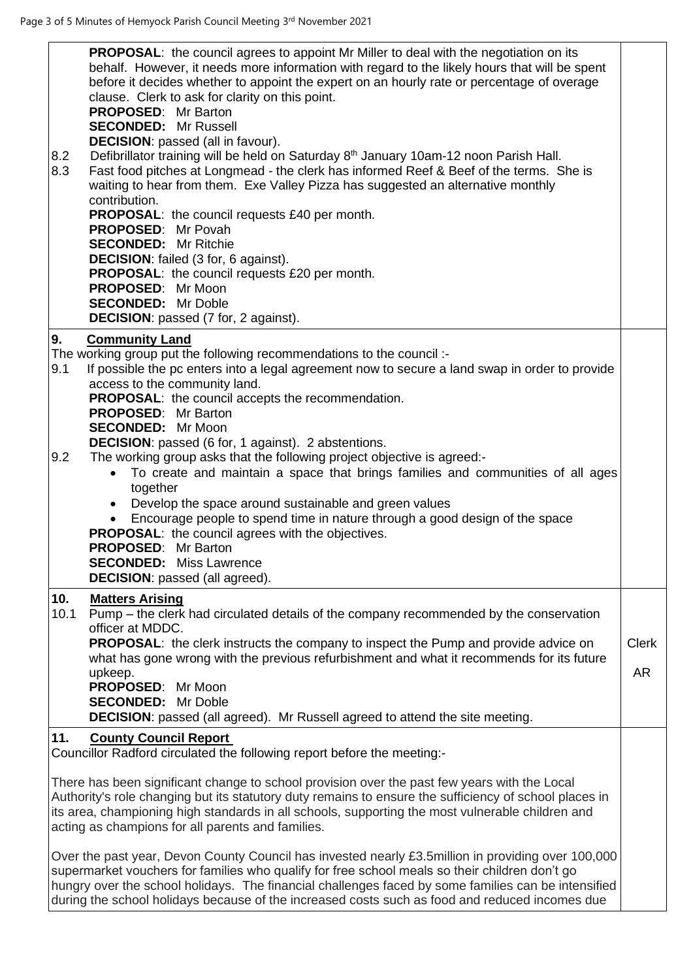| 8.2<br>8.3 | <b>PROPOSAL:</b> the council agrees to appoint Mr Miller to deal with the negotiation on its<br>behalf. However, it needs more information with regard to the likely hours that will be spent<br>before it decides whether to appoint the expert on an hourly rate or percentage of overage<br>clause. Clerk to ask for clarity on this point.<br><b>PROPOSED:</b> Mr Barton<br><b>SECONDED:</b> Mr Russell<br><b>DECISION:</b> passed (all in favour).<br>Defibrillator training will be held on Saturday 8 <sup>th</sup> January 10am-12 noon Parish Hall.<br>Fast food pitches at Longmead - the clerk has informed Reef & Beef of the terms. She is<br>waiting to hear from them. Exe Valley Pizza has suggested an alternative monthly<br>contribution.<br><b>PROPOSAL:</b> the council requests £40 per month.<br>PROPOSED: Mr Povah<br><b>SECONDED:</b> Mr Ritchie<br><b>DECISION:</b> failed (3 for, 6 against).<br>PROPOSAL: the council requests £20 per month.<br>PROPOSED: Mr Moon<br><b>SECONDED:</b> Mr Doble<br><b>DECISION:</b> passed (7 for, 2 against). |              |
|------------|----------------------------------------------------------------------------------------------------------------------------------------------------------------------------------------------------------------------------------------------------------------------------------------------------------------------------------------------------------------------------------------------------------------------------------------------------------------------------------------------------------------------------------------------------------------------------------------------------------------------------------------------------------------------------------------------------------------------------------------------------------------------------------------------------------------------------------------------------------------------------------------------------------------------------------------------------------------------------------------------------------------------------------------------------------------------------|--------------|
| 9.         | <b>Community Land</b>                                                                                                                                                                                                                                                                                                                                                                                                                                                                                                                                                                                                                                                                                                                                                                                                                                                                                                                                                                                                                                                      |              |
| 9.1        | The working group put the following recommendations to the council :-<br>If possible the pc enters into a legal agreement now to secure a land swap in order to provide                                                                                                                                                                                                                                                                                                                                                                                                                                                                                                                                                                                                                                                                                                                                                                                                                                                                                                    |              |
|            | access to the community land.                                                                                                                                                                                                                                                                                                                                                                                                                                                                                                                                                                                                                                                                                                                                                                                                                                                                                                                                                                                                                                              |              |
|            | <b>PROPOSAL:</b> the council accepts the recommendation.<br><b>PROPOSED:</b> Mr Barton                                                                                                                                                                                                                                                                                                                                                                                                                                                                                                                                                                                                                                                                                                                                                                                                                                                                                                                                                                                     |              |
|            | <b>SECONDED:</b> Mr Moon                                                                                                                                                                                                                                                                                                                                                                                                                                                                                                                                                                                                                                                                                                                                                                                                                                                                                                                                                                                                                                                   |              |
| 9.2        | <b>DECISION:</b> passed (6 for, 1 against). 2 abstentions.<br>The working group asks that the following project objective is agreed:-                                                                                                                                                                                                                                                                                                                                                                                                                                                                                                                                                                                                                                                                                                                                                                                                                                                                                                                                      |              |
|            | To create and maintain a space that brings families and communities of all ages<br>$\bullet$                                                                                                                                                                                                                                                                                                                                                                                                                                                                                                                                                                                                                                                                                                                                                                                                                                                                                                                                                                               |              |
|            | together<br>Develop the space around sustainable and green values                                                                                                                                                                                                                                                                                                                                                                                                                                                                                                                                                                                                                                                                                                                                                                                                                                                                                                                                                                                                          |              |
|            | $\bullet$<br>Encourage people to spend time in nature through a good design of the space<br>$\bullet$                                                                                                                                                                                                                                                                                                                                                                                                                                                                                                                                                                                                                                                                                                                                                                                                                                                                                                                                                                      |              |
|            | <b>PROPOSAL:</b> the council agrees with the objectives.                                                                                                                                                                                                                                                                                                                                                                                                                                                                                                                                                                                                                                                                                                                                                                                                                                                                                                                                                                                                                   |              |
|            | <b>PROPOSED:</b> Mr Barton<br><b>SECONDED:</b> Miss Lawrence                                                                                                                                                                                                                                                                                                                                                                                                                                                                                                                                                                                                                                                                                                                                                                                                                                                                                                                                                                                                               |              |
|            | <b>DECISION:</b> passed (all agreed).                                                                                                                                                                                                                                                                                                                                                                                                                                                                                                                                                                                                                                                                                                                                                                                                                                                                                                                                                                                                                                      |              |
| 10.        | <b>Matters Arising</b>                                                                                                                                                                                                                                                                                                                                                                                                                                                                                                                                                                                                                                                                                                                                                                                                                                                                                                                                                                                                                                                     |              |
| 10.1       | Pump – the clerk had circulated details of the company recommended by the conservation<br>officer at MDDC.                                                                                                                                                                                                                                                                                                                                                                                                                                                                                                                                                                                                                                                                                                                                                                                                                                                                                                                                                                 |              |
|            | <b>PROPOSAL:</b> the clerk instructs the company to inspect the Pump and provide advice on                                                                                                                                                                                                                                                                                                                                                                                                                                                                                                                                                                                                                                                                                                                                                                                                                                                                                                                                                                                 | <b>Clerk</b> |
|            | what has gone wrong with the previous refurbishment and what it recommends for its future<br>upkeep.                                                                                                                                                                                                                                                                                                                                                                                                                                                                                                                                                                                                                                                                                                                                                                                                                                                                                                                                                                       | AR           |
|            | PROPOSED: Mr Moon                                                                                                                                                                                                                                                                                                                                                                                                                                                                                                                                                                                                                                                                                                                                                                                                                                                                                                                                                                                                                                                          |              |
|            | <b>SECONDED:</b> Mr Doble                                                                                                                                                                                                                                                                                                                                                                                                                                                                                                                                                                                                                                                                                                                                                                                                                                                                                                                                                                                                                                                  |              |
| 11.        | <b>DECISION:</b> passed (all agreed). Mr Russell agreed to attend the site meeting.                                                                                                                                                                                                                                                                                                                                                                                                                                                                                                                                                                                                                                                                                                                                                                                                                                                                                                                                                                                        |              |
|            | <b>County Council Report</b><br>Councillor Radford circulated the following report before the meeting:-                                                                                                                                                                                                                                                                                                                                                                                                                                                                                                                                                                                                                                                                                                                                                                                                                                                                                                                                                                    |              |
|            | There has been significant change to school provision over the past few years with the Local<br>Authority's role changing but its statutory duty remains to ensure the sufficiency of school places in<br>its area, championing high standards in all schools, supporting the most vulnerable children and                                                                                                                                                                                                                                                                                                                                                                                                                                                                                                                                                                                                                                                                                                                                                                 |              |
|            | acting as champions for all parents and families.                                                                                                                                                                                                                                                                                                                                                                                                                                                                                                                                                                                                                                                                                                                                                                                                                                                                                                                                                                                                                          |              |
|            | Over the past year, Devon County Council has invested nearly £3.5 million in providing over 100,000<br>supermarket vouchers for families who qualify for free school meals so their children don't go<br>hungry over the school holidays. The financial challenges faced by some families can be intensified                                                                                                                                                                                                                                                                                                                                                                                                                                                                                                                                                                                                                                                                                                                                                               |              |
|            | during the school holidays because of the increased costs such as food and reduced incomes due                                                                                                                                                                                                                                                                                                                                                                                                                                                                                                                                                                                                                                                                                                                                                                                                                                                                                                                                                                             |              |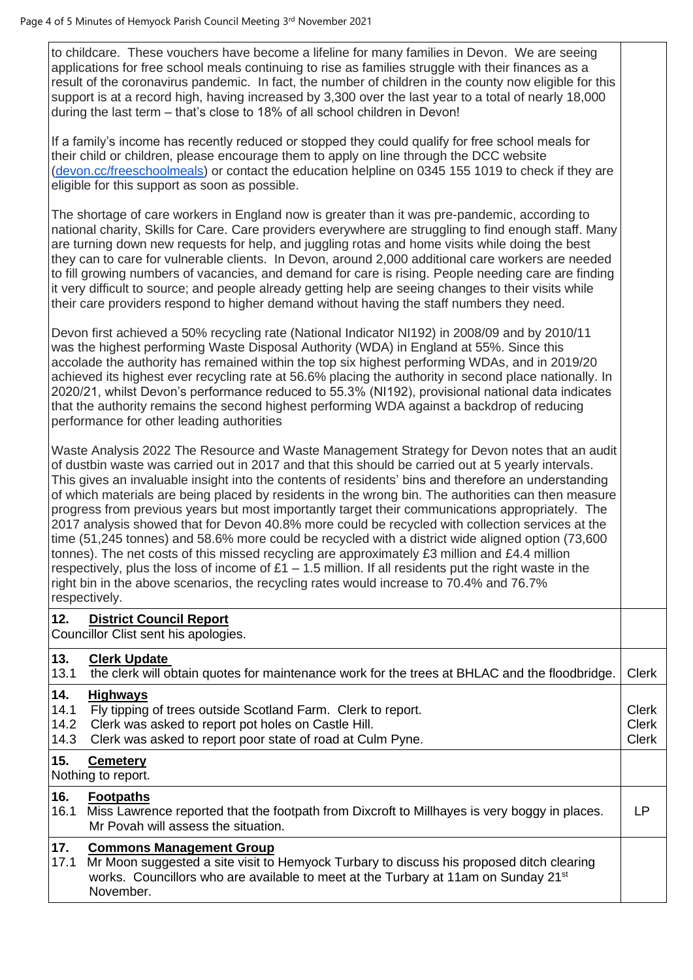to childcare. These vouchers have become a lifeline for many families in Devon. We are seeing applications for free school meals continuing to rise as families struggle with their finances as a result of the coronavirus pandemic. In fact, the number of children in the county now eligible for this support is at a record high, having increased by 3,300 over the last year to a total of nearly 18,000 during the last term – that's close to 18% of all school children in Devon!

If a family's income has recently reduced or stopped they could qualify for free school meals for their child or children, please encourage them to apply on line through the DCC website [\(devon.cc/freeschoolmeals\)](http://devon.cc/freeschoolmeals) or contact the education helpline on 0345 155 1019 to check if they are eligible for this support as soon as possible.

The shortage of care workers in England now is greater than it was pre-pandemic, according to national charity, Skills for Care. Care providers everywhere are struggling to find enough staff. Many are turning down new requests for help, and juggling rotas and home visits while doing the best they can to care for vulnerable clients. In Devon, around 2,000 additional care workers are needed to fill growing numbers of vacancies, and demand for care is rising. People needing care are finding it very difficult to source; and people already getting help are seeing changes to their visits while their care providers respond to higher demand without having the staff numbers they need.

Devon first achieved a 50% recycling rate (National Indicator NI192) in 2008/09 and by 2010/11 was the highest performing Waste Disposal Authority (WDA) in England at 55%. Since this accolade the authority has remained within the top six highest performing WDAs, and in 2019/20 achieved its highest ever recycling rate at 56.6% placing the authority in second place nationally. In 2020/21, whilst Devon's performance reduced to 55.3% (NI192), provisional national data indicates that the authority remains the second highest performing WDA against a backdrop of reducing performance for other leading authorities

Waste Analysis 2022 The Resource and Waste Management Strategy for Devon notes that an audit of dustbin waste was carried out in 2017 and that this should be carried out at 5 yearly intervals. This gives an invaluable insight into the contents of residents' bins and therefore an understanding of which materials are being placed by residents in the wrong bin. The authorities can then measure progress from previous years but most importantly target their communications appropriately. The 2017 analysis showed that for Devon 40.8% more could be recycled with collection services at the time (51,245 tonnes) and 58.6% more could be recycled with a district wide aligned option (73,600 tonnes). The net costs of this missed recycling are approximately £3 million and £4.4 million respectively, plus the loss of income of  $£1 - 1.5$  million. If all residents put the right waste in the right bin in the above scenarios, the recycling rates would increase to 70.4% and 76.7% respectively.

## **12. District Council Report**

Councillor Clist sent his apologies.

## **13. Clerk Update**

| 13.1                        | the clerk will obtain quotes for maintenance work for the trees at BHLAC and the floodbridge.                                                                                                                                              | <b>Clerk</b>                                 |
|-----------------------------|--------------------------------------------------------------------------------------------------------------------------------------------------------------------------------------------------------------------------------------------|----------------------------------------------|
| 14.<br>14.1<br>14.2<br>14.3 | <b>Highways</b><br>Fly tipping of trees outside Scotland Farm. Clerk to report.<br>Clerk was asked to report pot holes on Castle Hill.<br>Clerk was asked to report poor state of road at Culm Pyne.                                       | <b>Clerk</b><br><b>Clerk</b><br><b>Clerk</b> |
| 15.                         | <b>Cemetery</b><br>Nothing to report.                                                                                                                                                                                                      |                                              |
| 16.<br>16.1                 | <b>Footpaths</b><br>Miss Lawrence reported that the footpath from Dixcroft to Millhayes is very boggy in places.<br>Mr Povah will assess the situation.                                                                                    | LP                                           |
| $17.$<br>17.1               | <b>Commons Management Group</b><br>Mr Moon suggested a site visit to Hemyock Turbary to discuss his proposed ditch clearing<br>works. Councillors who are available to meet at the Turbary at 11am on Sunday 21 <sup>st</sup><br>November. |                                              |